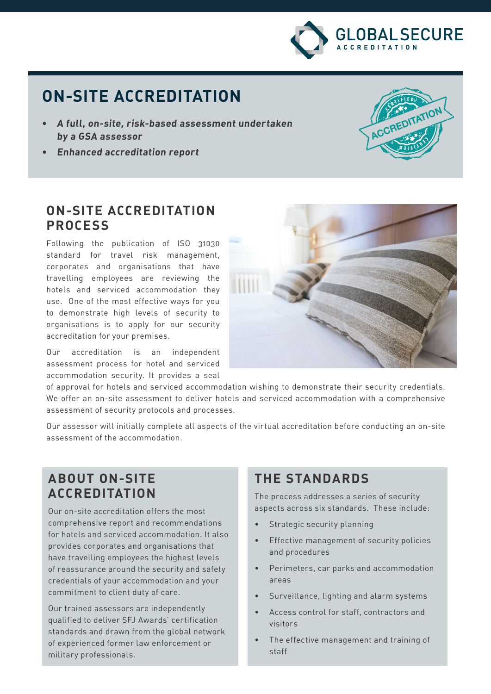

# **ON-SITE ACCREDITATION**

- **• A full, on-site, risk-based assessment undertaken by a GSA assessor**
- **• Enhanced accreditation report**



#### **ON-SITE ACCREDITATION PROCESS**

Following the publication of ISO 31030 standard for travel risk management, corporates and organisations that have travelling employees are reviewing the hotels and serviced accommodation they use. One of the most effective ways for you to demonstrate high levels of security to organisations is to apply for our security accreditation for your premises.

Our accreditation is an independent assessment process for hotel and serviced accommodation security. It provides a seal



of approval for hotels and serviced accommodation wishing to demonstrate their security credentials. We offer an on-site assessment to deliver hotels and serviced accommodation with a comprehensive assessment of security protocols and processes.

Our assessor will initially complete all aspects of the virtual accreditation before conducting an on-site assessment of the accommodation.

### **ABOUT ON-SITE ACCREDITATION**

Our on-site accreditation offers the most comprehensive report and recommendations for hotels and serviced accommodation. It also provides corporates and organisations that have travelling employees the highest levels of reassurance around the security and safety credentials of your accommodation and your commitment to client duty of care.

Our trained assessors are independently qualified to deliver SFJ Awards' certification standards and drawn from the global network of experienced former law enforcement or military professionals.

## **THE STANDARDS**

The process addresses a series of security aspects across six standards. These include:

- Strategic security planning
- Effective management of security policies and procedures
- Perimeters, car parks and accommodation areas
- Surveillance, lighting and alarm systems
- Access control for staff, contractors and visitors
- The effective management and training of staff